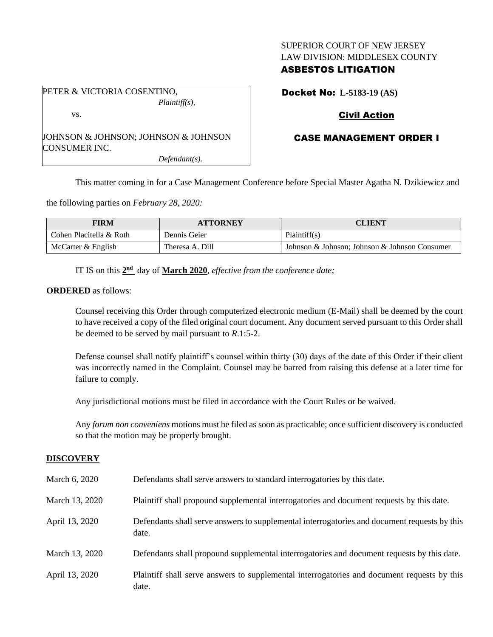### SUPERIOR COURT OF NEW JERSEY LAW DIVISION: MIDDLESEX COUNTY

## ASBESTOS LITIGATION

PETER & VICTORIA COSENTINO, *Plaintiff(s),*

vs.

JOHNSON & JOHNSON; JOHNSON & JOHNSON CONSUMER INC.

*Defendant(s).*

Docket No: **L-5183-19 (AS)**

# Civil Action

## CASE MANAGEMENT ORDER I

This matter coming in for a Case Management Conference before Special Master Agatha N. Dzikiewicz and

the following parties on *February 28, 2020:*

| <b>FIRM</b>             | <b>ATTORNEY</b> | <b>CLIENT</b>                                 |
|-------------------------|-----------------|-----------------------------------------------|
| Cohen Placitella & Roth | Dennis Geier    | Plaintiff(s)                                  |
| McCarter & English      | Theresa A. Dill | Johnson & Johnson; Johnson & Johnson Consumer |

IT IS on this  $2<sup>nd</sup>$  day of **March** 2020, *effective from the conference date*;

#### **ORDERED** as follows:

Counsel receiving this Order through computerized electronic medium (E-Mail) shall be deemed by the court to have received a copy of the filed original court document. Any document served pursuant to this Order shall be deemed to be served by mail pursuant to *R*.1:5-2.

Defense counsel shall notify plaintiff's counsel within thirty (30) days of the date of this Order if their client was incorrectly named in the Complaint. Counsel may be barred from raising this defense at a later time for failure to comply.

Any jurisdictional motions must be filed in accordance with the Court Rules or be waived.

Any *forum non conveniens* motions must be filed as soon as practicable; once sufficient discovery is conducted so that the motion may be properly brought.

## **DISCOVERY**

| March 6, 2020  | Defendants shall serve answers to standard interrogatories by this date.                              |
|----------------|-------------------------------------------------------------------------------------------------------|
| March 13, 2020 | Plaintiff shall propound supplemental interrogatories and document requests by this date.             |
| April 13, 2020 | Defendants shall serve answers to supplemental interrogatories and document requests by this<br>date. |
| March 13, 2020 | Defendants shall propound supplemental interrogatories and document requests by this date.            |
| April 13, 2020 | Plaintiff shall serve answers to supplemental interrogatories and document requests by this<br>date.  |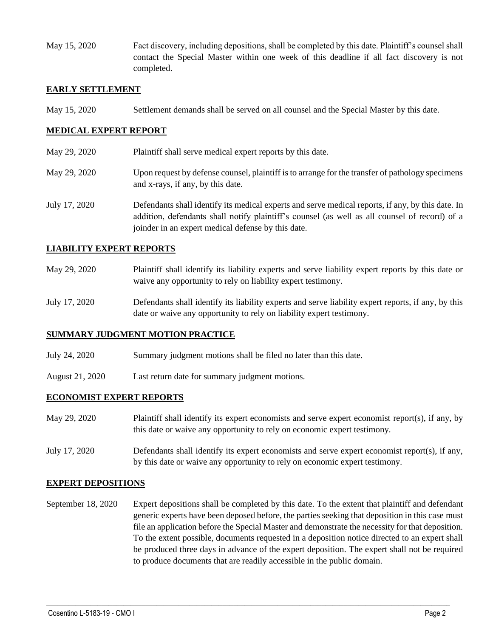May 15, 2020 Fact discovery, including depositions, shall be completed by this date. Plaintiff's counsel shall contact the Special Master within one week of this deadline if all fact discovery is not completed.

#### **EARLY SETTLEMENT**

May 15, 2020 Settlement demands shall be served on all counsel and the Special Master by this date.

### **MEDICAL EXPERT REPORT**

- May 29, 2020 Plaintiff shall serve medical expert reports by this date.
- May 29, 2020 Upon request by defense counsel, plaintiff is to arrange for the transfer of pathology specimens and x-rays, if any, by this date.
- July 17, 2020 Defendants shall identify its medical experts and serve medical reports, if any, by this date. In addition, defendants shall notify plaintiff's counsel (as well as all counsel of record) of a joinder in an expert medical defense by this date.

#### **LIABILITY EXPERT REPORTS**

- May 29, 2020 Plaintiff shall identify its liability experts and serve liability expert reports by this date or waive any opportunity to rely on liability expert testimony.
- July 17, 2020 Defendants shall identify its liability experts and serve liability expert reports, if any, by this date or waive any opportunity to rely on liability expert testimony.

#### **SUMMARY JUDGMENT MOTION PRACTICE**

- July 24, 2020 Summary judgment motions shall be filed no later than this date.
- August 21, 2020 Last return date for summary judgment motions.

### **ECONOMIST EXPERT REPORTS**

- May 29, 2020 Plaintiff shall identify its expert economists and serve expert economist report(s), if any, by this date or waive any opportunity to rely on economic expert testimony.
- July 17, 2020 Defendants shall identify its expert economists and serve expert economist report(s), if any, by this date or waive any opportunity to rely on economic expert testimony.

#### **EXPERT DEPOSITIONS**

September 18, 2020 Expert depositions shall be completed by this date. To the extent that plaintiff and defendant generic experts have been deposed before, the parties seeking that deposition in this case must file an application before the Special Master and demonstrate the necessity for that deposition. To the extent possible, documents requested in a deposition notice directed to an expert shall be produced three days in advance of the expert deposition. The expert shall not be required to produce documents that are readily accessible in the public domain.

 $\_$  , and the set of the set of the set of the set of the set of the set of the set of the set of the set of the set of the set of the set of the set of the set of the set of the set of the set of the set of the set of th